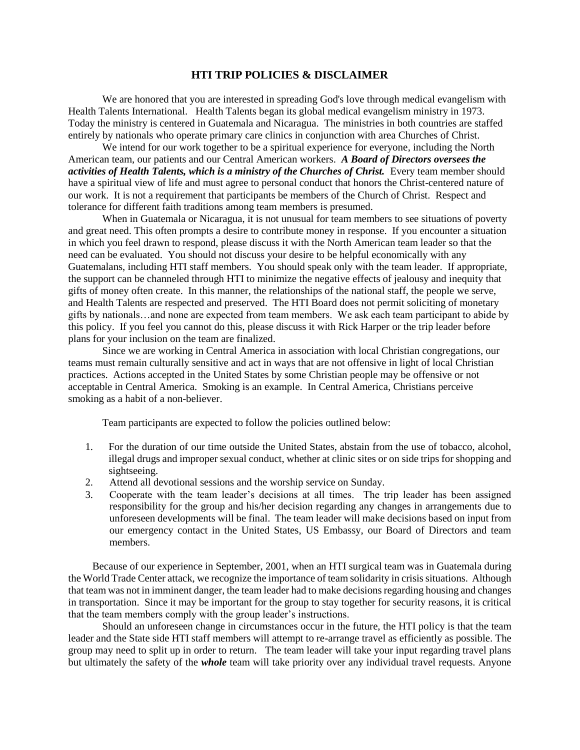## **HTI TRIP POLICIES & DISCLAIMER**

We are honored that you are interested in spreading God's love through medical evangelism with Health Talents International. Health Talents began its global medical evangelism ministry in 1973. Today the ministry is centered in Guatemala and Nicaragua. The ministries in both countries are staffed entirely by nationals who operate primary care clinics in conjunction with area Churches of Christ.

We intend for our work together to be a spiritual experience for everyone, including the North American team, our patients and our Central American workers. *A Board of Directors oversees the activities of Health Talents, which is a ministry of the Churches of Christ.* Every team member should have a spiritual view of life and must agree to personal conduct that honors the Christ-centered nature of our work. It is not a requirement that participants be members of the Church of Christ. Respect and tolerance for different faith traditions among team members is presumed.

When in Guatemala or Nicaragua, it is not unusual for team members to see situations of poverty and great need. This often prompts a desire to contribute money in response. If you encounter a situation in which you feel drawn to respond, please discuss it with the North American team leader so that the need can be evaluated. You should not discuss your desire to be helpful economically with any Guatemalans, including HTI staff members. You should speak only with the team leader. If appropriate, the support can be channeled through HTI to minimize the negative effects of jealousy and inequity that gifts of money often create. In this manner, the relationships of the national staff, the people we serve, and Health Talents are respected and preserved. The HTI Board does not permit soliciting of monetary gifts by nationals…and none are expected from team members. We ask each team participant to abide by this policy. If you feel you cannot do this, please discuss it with Rick Harper or the trip leader before plans for your inclusion on the team are finalized.

Since we are working in Central America in association with local Christian congregations, our teams must remain culturally sensitive and act in ways that are not offensive in light of local Christian practices. Actions accepted in the United States by some Christian people may be offensive or not acceptable in Central America. Smoking is an example. In Central America, Christians perceive smoking as a habit of a non-believer.

Team participants are expected to follow the policies outlined below:

- 1. For the duration of our time outside the United States, abstain from the use of tobacco, alcohol, illegal drugs and improper sexual conduct, whether at clinic sites or on side trips for shopping and sightseeing.
- 2. Attend all devotional sessions and the worship service on Sunday.
- 3. Cooperate with the team leader's decisions at all times. The trip leader has been assigned responsibility for the group and his/her decision regarding any changes in arrangements due to unforeseen developments will be final. The team leader will make decisions based on input from our emergency contact in the United States, US Embassy, our Board of Directors and team members.

Because of our experience in September, 2001, when an HTI surgical team was in Guatemala during the World Trade Center attack, we recognize the importance of team solidarity in crisis situations. Although that team was not in imminent danger, the team leader had to make decisions regarding housing and changes in transportation. Since it may be important for the group to stay together for security reasons, it is critical that the team members comply with the group leader's instructions.

Should an unforeseen change in circumstances occur in the future, the HTI policy is that the team leader and the State side HTI staff members will attempt to re-arrange travel as efficiently as possible. The group may need to split up in order to return. The team leader will take your input regarding travel plans but ultimately the safety of the *whole* team will take priority over any individual travel requests. Anyone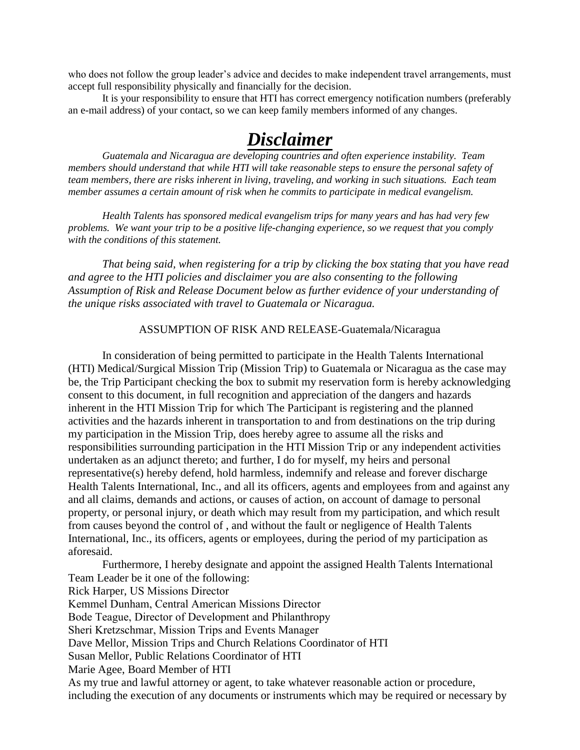who does not follow the group leader's advice and decides to make independent travel arrangements, must accept full responsibility physically and financially for the decision.

It is your responsibility to ensure that HTI has correct emergency notification numbers (preferably an e-mail address) of your contact, so we can keep family members informed of any changes.

## *Disclaimer*

*Guatemala and Nicaragua are developing countries and often experience instability. Team members should understand that while HTI will take reasonable steps to ensure the personal safety of team members, there are risks inherent in living, traveling, and working in such situations. Each team member assumes a certain amount of risk when he commits to participate in medical evangelism.*

*Health Talents has sponsored medical evangelism trips for many years and has had very few problems. We want your trip to be a positive life-changing experience, so we request that you comply with the conditions of this statement.* 

*That being said, when registering for a trip by clicking the box stating that you have read and agree to the HTI policies and disclaimer you are also consenting to the following Assumption of Risk and Release Document below as further evidence of your understanding of the unique risks associated with travel to Guatemala or Nicaragua.* 

## ASSUMPTION OF RISK AND RELEASE-Guatemala/Nicaragua

In consideration of being permitted to participate in the Health Talents International (HTI) Medical/Surgical Mission Trip (Mission Trip) to Guatemala or Nicaragua as the case may be, the Trip Participant checking the box to submit my reservation form is hereby acknowledging consent to this document, in full recognition and appreciation of the dangers and hazards inherent in the HTI Mission Trip for which The Participant is registering and the planned activities and the hazards inherent in transportation to and from destinations on the trip during my participation in the Mission Trip, does hereby agree to assume all the risks and responsibilities surrounding participation in the HTI Mission Trip or any independent activities undertaken as an adjunct thereto; and further, I do for myself, my heirs and personal representative(s) hereby defend, hold harmless, indemnify and release and forever discharge Health Talents International, Inc., and all its officers, agents and employees from and against any and all claims, demands and actions, or causes of action, on account of damage to personal property, or personal injury, or death which may result from my participation, and which result from causes beyond the control of , and without the fault or negligence of Health Talents International, Inc., its officers, agents or employees, during the period of my participation as aforesaid.

Furthermore, I hereby designate and appoint the assigned Health Talents International Team Leader be it one of the following: Rick Harper, US Missions Director Kemmel Dunham, Central American Missions Director Bode Teague, Director of Development and Philanthropy Sheri Kretzschmar, Mission Trips and Events Manager Dave Mellor, Mission Trips and Church Relations Coordinator of HTI Susan Mellor, Public Relations Coordinator of HTI Marie Agee, Board Member of HTI As my true and lawful attorney or agent, to take whatever reasonable action or procedure, including the execution of any documents or instruments which may be required or necessary by